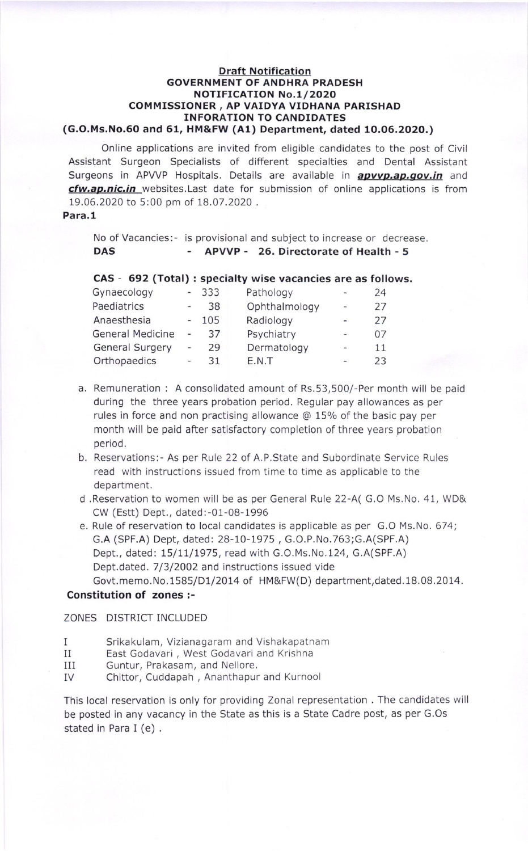#### Draft Notification GOVERNMENT OF ANDHRA PRADESH NOTIFICATION No. 1/2020 COMMISSIONER, AP VAIDYA VIDHANA PARISHAD INFORATION TO CANDIDATES (G.O.Ms.No.60 and 61, HM&FW (A1) Department, dated 1O.06.2020.)

Online applications are invited from eligible candidates to the post of Civil Assistant Surgeon Specialists of different specialties and Dental Assistant Surgeons in APVVP Hospitals. Details are available in **apvvp.ap.gov.in** and cfw.ap.nic.in websites. Last date for submission of online applications is from 19.06.2020 to 5:00 pm of 18.07.2020 .

#### Para,1

No oF Vacancies:- is provisional and subject to increase or decrease. DAS - APVVP - 26. Directorate of Health - <sup>5</sup>

# CAS - 692 (Total) : specialty wise vacancies are as follows.

| Gynaecology             |                          | 333 | Pathology     | m                        | 24 |
|-------------------------|--------------------------|-----|---------------|--------------------------|----|
| Paediatrics             |                          | 38  | Ophthalmology | $\overline{a}$           | 27 |
| Anaesthesia             |                          | 105 | Radiology     | $\overline{a}$           | 27 |
| <b>General Medicine</b> |                          | 37  | Psychiatry    | ÷                        | 07 |
| <b>General Surgery</b>  |                          | 29  | Dermatology   | $\overline{\phantom{a}}$ | 11 |
| Orthopaedics            | $\overline{\phantom{a}}$ | 31  | E.N.T         |                          | 23 |
|                         |                          |     |               |                          |    |

- a. Remuneration : A consolidated amount of Rs.53,500/-Per month will be paid during the three years probation period. Regular pay allowances as per rules in force and non practising allowance @ 15% of the basic pay per month will be paid after satisfactory completion of three years probation period.
- b. Reservations:- As per Rule 22 of A.P.State and Subordinate Service Rules read with instructions issued from time to time as applicable to the department.
- d .Reservation to women will be as per General Rule 22-A( G.O Ms.No. 41, WD& CW (Estt) Dept., dated:-01-08-1996
- e. Rule of reservation to local candidates is applicable as per G.O Ms.No. 674; c.A (SPF.A) Dept, dated: 2B-L0-L975, G.O.P.No.763;G.A(SPF.A) Dept., dated: 15/11/1975, read with G.O.Ms.No.124, G.A(SPF.A) Dept.dated. 7/3/2002 and instructions issued vide Govt.memo.No.15B5/DU2014 of HM&FW(D) department,dated.1B.0B.2014.

#### Constitution of zones :-

#### ZONES DISTRICT INCLUDED

- $\mathbf{I}$ Srikakulam, Vizianagaram and Vishakapatnam
- II East Godavari , West Godavari and Krishna
- IIi Guntur, Prakasam, and Nellore.
- IV Chittor, Cuddapah , Ananthapur and Kurnool

This local reservation is only for providing Zonal representation . The candidates will be posted in any vacancy in the State as this is a State Cadre post, as per G.Os stated in Para I (e) .